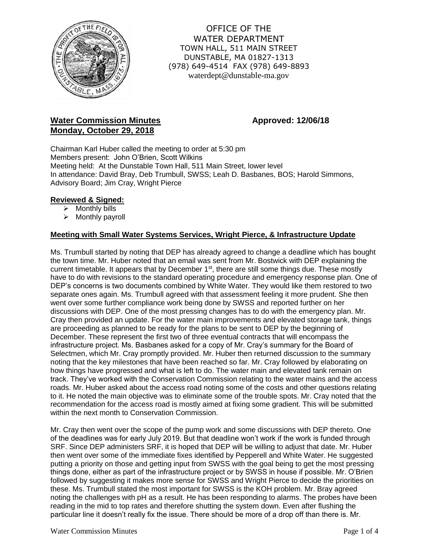

OFFICE OF THE WATER DEPARTMENT TOWN HALL, 511 MAIN STREET DUNSTABLE, MA 01827-1313 (978) 649-4514 FAX (978) 649-8893 waterdept@dunstable-ma.gov

# **Water Commission Minutes Approved: 12/06/18 Monday, October 29, 2018**

Chairman Karl Huber called the meeting to order at 5:30 pm Members present: John O'Brien, Scott Wilkins Meeting held: At the Dunstable Town Hall, 511 Main Street, lower level In attendance: David Bray, Deb Trumbull, SWSS; Leah D. Basbanes, BOS; Harold Simmons, Advisory Board; Jim Cray, Wright Pierce

# **Reviewed & Signed:**

- ➢ Monthly bills
- ➢ Monthly payroll

# **Meeting with Small Water Systems Services, Wright Pierce, & Infrastructure Update**

Ms. Trumbull started by noting that DEP has already agreed to change a deadline which has bought the town time. Mr. Huber noted that an email was sent from Mr. Bostwick with DEP explaining the current timetable. It appears that by December 1<sup>st</sup>, there are still some things due. These mostly have to do with revisions to the standard operating procedure and emergency response plan. One of DEP's concerns is two documents combined by White Water. They would like them restored to two separate ones again. Ms. Trumbull agreed with that assessment feeling it more prudent. She then went over some further compliance work being done by SWSS and reported further on her discussions with DEP. One of the most pressing changes has to do with the emergency plan. Mr. Cray then provided an update. For the water main improvements and elevated storage tank, things are proceeding as planned to be ready for the plans to be sent to DEP by the beginning of December. These represent the first two of three eventual contracts that will encompass the infrastructure project. Ms. Basbanes asked for a copy of Mr. Cray's summary for the Board of Selectmen, which Mr. Cray promptly provided. Mr. Huber then returned discussion to the summary noting that the key milestones that have been reached so far. Mr. Cray followed by elaborating on how things have progressed and what is left to do. The water main and elevated tank remain on track. They've worked with the Conservation Commission relating to the water mains and the access roads. Mr. Huber asked about the access road noting some of the costs and other questions relating to it. He noted the main objective was to eliminate some of the trouble spots. Mr. Cray noted that the recommendation for the access road is mostly aimed at fixing some gradient. This will be submitted within the next month to Conservation Commission.

Mr. Cray then went over the scope of the pump work and some discussions with DEP thereto. One of the deadlines was for early July 2019. But that deadline won't work if the work is funded through SRF. Since DEP administers SRF, it is hoped that DEP will be willing to adjust that date. Mr. Huber then went over some of the immediate fixes identified by Pepperell and White Water. He suggested putting a priority on those and getting input from SWSS with the goal being to get the most pressing things done, either as part of the infrastructure project or by SWSS in house if possible. Mr. O'Brien followed by suggesting it makes more sense for SWSS and Wright Pierce to decide the priorities on these. Ms. Trumbull stated the most important for SWSS is the KOH problem. Mr. Bray agreed noting the challenges with pH as a result. He has been responding to alarms. The probes have been reading in the mid to top rates and therefore shutting the system down. Even after flushing the particular line it doesn't really fix the issue. There should be more of a drop off than there is. Mr.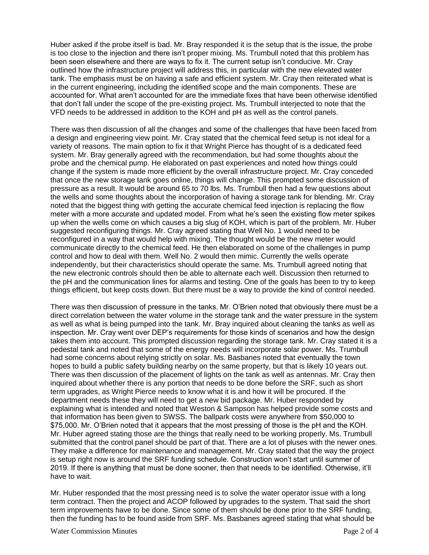Huber asked if the probe itself is bad. Mr. Bray responded it is the setup that is the issue, the probe is too close to the injection and there isn't proper mixing. Ms. Trumbull noted that this problem has been seen elsewhere and there are ways to fix it. The current setup isn't conducive. Mr. Cray outlined how the infrastructure project will address this, in particular with the new elevated water tank. The emphasis must be on having a safe and efficient system. Mr. Cray then reiterated what is in the current engineering, including the identified scope and the main components. These are accounted for. What aren't accounted for are the immediate fixes that have been otherwise identified that don't fall under the scope of the pre-existing project. Ms. Trumbull interjected to note that the VFD needs to be addressed in addition to the KOH and pH as well as the control panels.

There was then discussion of all the changes and some of the challenges that have been faced from a design and engineering view point. Mr. Cray stated that the chemical feed setup is not ideal for a variety of reasons. The main option to fix it that Wright Pierce has thought of is a dedicated feed system. Mr. Bray generally agreed with the recommendation, but had some thoughts about the probe and the chemical pump. He elaborated on past experiences and noted how things could change if the system is made more efficient by the overall infrastructure project. Mr. Cray conceded that once the new storage tank goes online, things will change. This prompted some discussion of pressure as a result. It would be around 65 to 70 lbs. Ms. Trumbull then had a few questions about the wells and some thoughts about the incorporation of having a storage tank for blending. Mr. Cray noted that the biggest thing with getting the accurate chemical feed injection is replacing the flow meter with a more accurate and updated model. From what he's seen the existing flow meter spikes up when the wells come on which causes a big slug of KOH, which is part of the problem. Mr. Huber suggested reconfiguring things. Mr. Cray agreed stating that Well No. 1 would need to be reconfigured in a way that would help with mixing. The thought would be the new meter would communicate directly to the chemical feed. He then elaborated on some of the challenges in pump control and how to deal with them. Well No. 2 would then mimic. Currently the wells operate independently, but their characteristics should operate the same. Ms. Trumbull agreed noting that the new electronic controls should then be able to alternate each well. Discussion then returned to the pH and the communication lines for alarms and testing. One of the goals has been to try to keep things efficient, but keep costs down. But there must be a way to provide the kind of control needed.

There was then discussion of pressure in the tanks. Mr. O'Brien noted that obviously there must be a direct correlation between the water volume in the storage tank and the water pressure in the system as well as what is being pumped into the tank. Mr. Bray inquired about cleaning the tanks as well as inspection. Mr. Cray went over DEP's requirements for those kinds of scenarios and how the design takes them into account. This prompted discussion regarding the storage tank. Mr. Cray stated it is a pedestal tank and noted that some of the energy needs will incorporate solar power. Ms. Trumbull had some concerns about relying strictly on solar. Ms. Basbanes noted that eventually the town hopes to build a public safety building nearby on the same property, but that is likely 10 years out. There was then discussion of the placement of lights on the tank as well as antennas. Mr. Cray then inquired about whether there is any portion that needs to be done before the SRF, such as short term upgrades, as Wright Pierce needs to know what it is and how it will be procured. If the department needs these they will need to get a new bid package. Mr. Huber responded by explaining what is intended and noted that Weston & Sampson has helped provide some costs and that information has been given to SWSS. The ballpark costs were anywhere from \$50,000 to \$75,000. Mr. O'Brien noted that it appears that the most pressing of those is the pH and the KOH. Mr. Huber agreed stating those are the things that really need to be working properly. Ms. Trumbull submitted that the control panel should be part of that. There are a lot of pluses with the newer ones. They make a difference for maintenance and management. Mr. Cray stated that the way the project is setup right now is around the SRF funding schedule. Construction won't start until summer of 2019. If there is anything that must be done sooner, then that needs to be identified. Otherwise, it'll have to wait.

Mr. Huber responded that the most pressing need is to solve the water operator issue with a long term contract. Then the project and ACOP followed by upgrades to the system. That said the short term improvements have to be done. Since some of them should be done prior to the SRF funding, then the funding has to be found aside from SRF. Ms. Basbanes agreed stating that what should be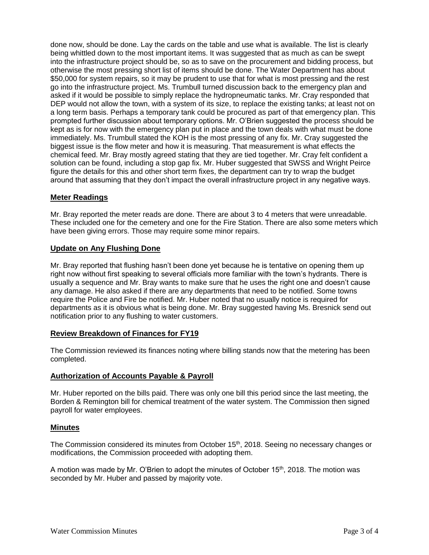done now, should be done. Lay the cards on the table and use what is available. The list is clearly being whittled down to the most important items. It was suggested that as much as can be swept into the infrastructure project should be, so as to save on the procurement and bidding process, but otherwise the most pressing short list of items should be done. The Water Department has about \$50,000 for system repairs, so it may be prudent to use that for what is most pressing and the rest go into the infrastructure project. Ms. Trumbull turned discussion back to the emergency plan and asked if it would be possible to simply replace the hydropneumatic tanks. Mr. Cray responded that DEP would not allow the town, with a system of its size, to replace the existing tanks; at least not on a long term basis. Perhaps a temporary tank could be procured as part of that emergency plan. This prompted further discussion about temporary options. Mr. O'Brien suggested the process should be kept as is for now with the emergency plan put in place and the town deals with what must be done immediately. Ms. Trumbull stated the KOH is the most pressing of any fix. Mr. Cray suggested the biggest issue is the flow meter and how it is measuring. That measurement is what effects the chemical feed. Mr. Bray mostly agreed stating that they are tied together. Mr. Cray felt confident a solution can be found, including a stop gap fix. Mr. Huber suggested that SWSS and Wright Peirce figure the details for this and other short term fixes, the department can try to wrap the budget around that assuming that they don't impact the overall infrastructure project in any negative ways.

## **Meter Readings**

Mr. Bray reported the meter reads are done. There are about 3 to 4 meters that were unreadable. These included one for the cemetery and one for the Fire Station. There are also some meters which have been giving errors. Those may require some minor repairs.

### **Update on Any Flushing Done**

Mr. Bray reported that flushing hasn't been done yet because he is tentative on opening them up right now without first speaking to several officials more familiar with the town's hydrants. There is usually a sequence and Mr. Bray wants to make sure that he uses the right one and doesn't cause any damage. He also asked if there are any departments that need to be notified. Some towns require the Police and Fire be notified. Mr. Huber noted that no usually notice is required for departments as it is obvious what is being done. Mr. Bray suggested having Ms. Bresnick send out notification prior to any flushing to water customers.

# **Review Breakdown of Finances for FY19**

The Commission reviewed its finances noting where billing stands now that the metering has been completed.

### **Authorization of Accounts Payable & Payroll**

Mr. Huber reported on the bills paid. There was only one bill this period since the last meeting, the Borden & Remington bill for chemical treatment of the water system. The Commission then signed payroll for water employees.

### **Minutes**

The Commission considered its minutes from October 15<sup>th</sup>, 2018. Seeing no necessary changes or modifications, the Commission proceeded with adopting them.

A motion was made by Mr. O'Brien to adopt the minutes of October 15<sup>th</sup>, 2018. The motion was seconded by Mr. Huber and passed by majority vote.